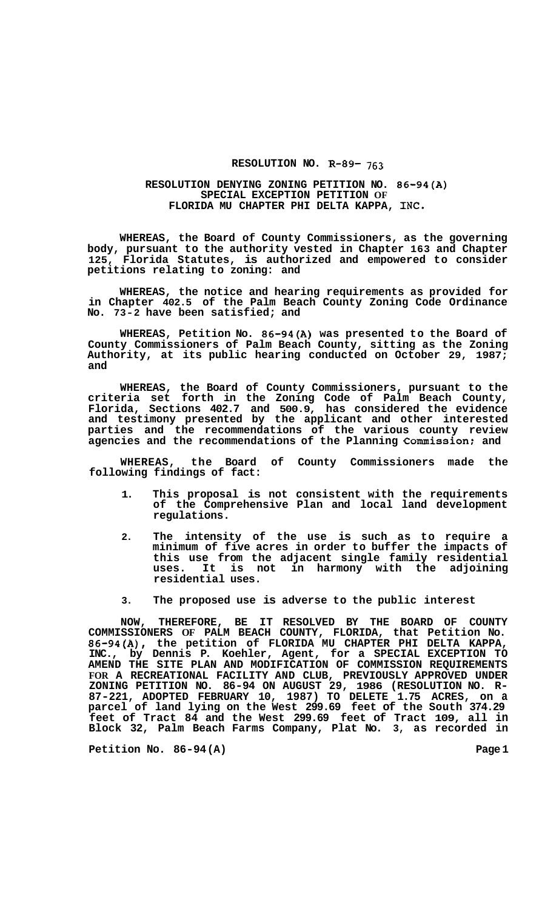## **RESOLUTION NO. R-89- 763**

## **RESOLUTION DENYING ZONING PETITION NO. 86-94(A) SPECIAL EXCEPTION PETITION OF FLORIDA MU CHAPTER PHI DELTA KAPPA, INC.**

**WHEREAS, the Board of County Commissioners, as the governing body, pursuant to the authority vested in Chapter 163 and Chapter 125, Florida Statutes, is authorized and empowered to consider petitions relating to zoning: and** 

**WHEREAS, the notice and hearing requirements as provided for in Chapter 402.5 of the Palm Beach County Zoning Code Ordinance No. 73-2 have been satisfied; and** 

**WHEREAS, Petition No. 86-94(A) was presented to the Board of County Commissioners of Palm Beach County, sitting as the Zoning Authority, at its public hearing conducted on October 29, 1987; and** 

**WHEREAS, the Board of County Commissioners, pursuant to the criteria set forth in the Zoning Code of Palm Beach County, Florida, Sections 402.7 and 500.9, has considered the evidence and testimony presented by the applicant and other interested parties and the recommendations of the various county review agencies and the recommendations of the Planning Commission: and** 

**WHEREAS, the Board of County Commissioners made the following findings of fact:** 

- **1. This proposal is not consistent with the requirements of the Comprehensive Plan and local land development regulations.**
- **2. The intensity of the use is such as to require a minimum of five acres in order to buffer the impacts of this use from the adjacent single family residential uses. It is not in harmony with the adjoining residential uses.**
- **3. The proposed use is adverse to the public interest**

**NOW, THEREFORE, BE IT RESOLVED BY THE BOARD OF COUNTY COMMISSIONERS OF PALM BEACH COUNTY, FLORIDA, that Petition No. 86-94(A), the petition of FLORIDA MU CHAPTER PHI DELTA KAPPA, INC., by Dennis P. Koehler, Agent, for a SPECIAL EXCEPTION TO AMEND THE SITE PLAN AND MODIFICATION OF COMMISSION REQUIREMENTS FOR A RECREATIONAL FACILITY AND CLUB, PREVIOUSLY APPROVED UNDER ZONING PETITION NO. 86-94 ON AUGUST 29, 1986 (RESOLUTION NO. R- 87-221, ADOPTED FEBRUARY 10, 1987) TO DELETE 1.75 ACRES, on a parcel of land lying on the West 299.69 feet of the South 374.29 feet of Tract 84 and the West 299.69 feet of Tract 109, all in Block 32, Palm Beach Farms Company, Plat No. 3, as recorded in** 

Petition No. 86-94(A) Page 1